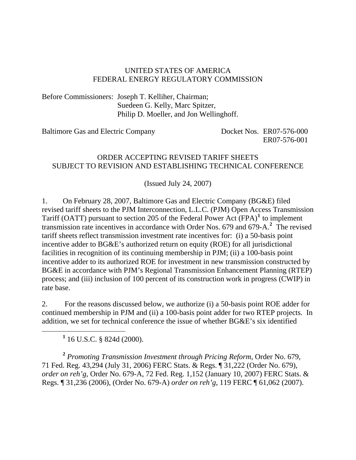#### UNITED STATES OF AMERICA FEDERAL ENERGY REGULATORY COMMISSION

Before Commissioners: Joseph T. Kelliher, Chairman; Suedeen G. Kelly, Marc Spitzer, Philip D. Moeller, and Jon Wellinghoff.

Baltimore Gas and Electric Company Docket Nos. ER07-576-000

ER07-576-001

#### ORDER ACCEPTING REVISED TARIFF SHEETS SUBJECT TO REVISION AND ESTABLISHING TECHNICAL CONFERENCE

(Issued July 24, 2007)

1. On February 28, 2007, Baltimore Gas and Electric Company (BG&E) filed revised tariff sheets to the PJM Interconnection, L.L.C. (PJM) Open Access Transmission Tariff (OATT) pursuant to section 205 of the Federal Power Act (FPA)**[1](#page-0-0)** to implement transmission rate incentives in accordance with Order Nos. 679 and 679-A.**[2](#page-0-1)** The revised tariff sheets reflect transmission investment rate incentives for: (i) a 50-basis point incentive adder to BG&E's authorized return on equity (ROE) for all jurisdictional facilities in recognition of its continuing membership in PJM; (ii) a 100-basis point incentive adder to its authorized ROE for investment in new transmission constructed by BG&E in accordance with PJM's Regional Transmission Enhancement Planning (RTEP) process; and (iii) inclusion of 100 percent of its construction work in progress (CWIP) in rate base.

2. For the reasons discussed below, we authorize (i) a 50-basis point ROE adder for continued membership in PJM and (ii) a 100-basis point adder for two RTEP projects. In addition, we set for technical conference the issue of whether BG&E's six identified

**1** 16 U.S.C. § 824d (2000).

<span id="page-0-0"></span>

<span id="page-0-1"></span>**<sup>2</sup>** *Promoting Transmission Investment through Pricing Reform*, Order No. 679, 71 Fed. Reg. 43,294 (July 31, 2006) FERC Stats. & Regs. ¶ 31,222 (Order No. 679), *order on reh'g*, Order No. 679-A, 72 Fed. Reg. 1,152 (January 10, 2007) FERC Stats. & Regs. ¶ 31,236 (2006), (Order No. 679-A) *order on reh'g*, 119 FERC ¶ 61,062 (2007).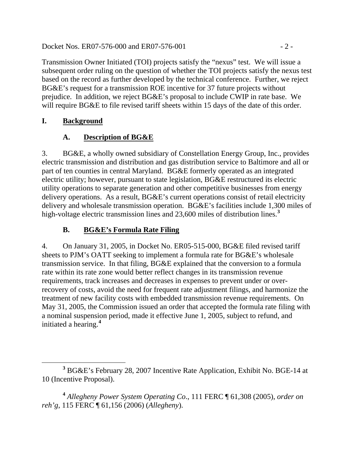Docket Nos. ER07-576-000 and ER07-576-001 - 2 -

Transmission Owner Initiated (TOI) projects satisfy the "nexus" test. We will issue a subsequent order ruling on the question of whether the TOI projects satisfy the nexus test based on the record as further developed by the technical conference. Further, we reject BG&E's request for a transmission ROE incentive for 37 future projects without prejudice. In addition, we reject BG&E's proposal to include CWIP in rate base. We will require BG&E to file revised tariff sheets within 15 days of the date of this order.

### **I. Background**

# **A. Description of BG&E**

3. BG&E, a wholly owned subsidiary of Constellation Energy Group, Inc., provides electric transmission and distribution and gas distribution service to Baltimore and all or part of ten counties in central Maryland. BG&E formerly operated as an integrated electric utility; however, pursuant to state legislation, BG&E restructured its electric utility operations to separate generation and other competitive businesses from energy delivery operations. As a result, BG&E's current operations consist of retail electricity delivery and wholesale transmission operation. BG&E's facilities include 1,300 miles of high-voltage electric transmission lines and 23,600 miles of distribution lines.**[3](#page-1-0)**

# **B. BG&E's Formula Rate Filing**

4. On January 31, 2005, in Docket No. ER05-515-000, BG&E filed revised tariff sheets to PJM's OATT seeking to implement a formula rate for BG&E's wholesale transmission service. In that filing, BG&E explained that the conversion to a formula rate within its rate zone would better reflect changes in its transmission revenue requirements, track increases and decreases in expenses to prevent under or overrecovery of costs, avoid the need for frequent rate adjustment filings, and harmonize the treatment of new facility costs with embedded transmission revenue requirements. On May 31, 2005, the Commission issued an order that accepted the formula rate filing with a nominal suspension period, made it effective June 1, 2005, subject to refund, and initiated a hearing.**[4](#page-1-1)**

<span id="page-1-0"></span>**<sup>3</sup>** BG&E's February 28, 2007 Incentive Rate Application, Exhibit No. BGE-14 at 10 (Incentive Proposal).

<span id="page-1-1"></span>**<sup>4</sup>** *Allegheny Power System Operating Co*., 111 FERC ¶ 61,308 (2005), *order on reh'g*, 115 FERC ¶ 61,156 (2006) (*Allegheny*).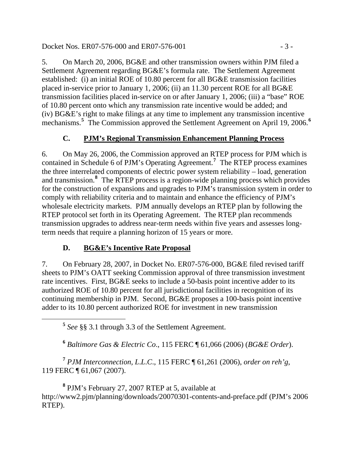#### Docket Nos. ER07-576-000 and ER07-576-001 - 3 -

5. On March 20, 2006, BG&E and other transmission owners within PJM filed a Settlement Agreement regarding BG&E's formula rate. The Settlement Agreement established: (i) an initial ROE of 10.80 percent for all BG&E transmission facilities placed in-service prior to January 1, 2006; (ii) an 11.30 percent ROE for all BG&E transmission facilities placed in-service on or after January 1, 2006; (iii) a "base" ROE of 10.80 percent onto which any transmission rate incentive would be added; and (iv) BG&E's right to make filings at any time to implement any transmission incentive mechanisms.<sup>[5](#page-2-0)</sup> The Commission approved the Settlement Agreement on April 19, 200[6](#page-2-1).<sup>6</sup>

## **C. PJM's Regional Transmission Enhancement Planning Process**

6. On May 26, 2006, the Commission approved an RTEP process for PJM which is contained in Schedule 6 of PJM's Operating Agreement.**[7](#page-2-2)** The RTEP process examines the three interrelated components of electric power system reliability – load, generation and transmission.**[8](#page-2-3)** The RTEP process is a region-wide planning process which provides for the construction of expansions and upgrades to PJM's transmission system in order to comply with reliability criteria and to maintain and enhance the efficiency of PJM's wholesale electricity markets. PJM annually develops an RTEP plan by following the RTEP protocol set forth in its Operating Agreement. The RTEP plan recommends transmission upgrades to address near-term needs within five years and assesses longterm needs that require a planning horizon of 15 years or more.

## **D. BG&E's Incentive Rate Proposal**

7. On February 28, 2007, in Docket No. ER07-576-000, BG&E filed revised tariff sheets to PJM's OATT seeking Commission approval of three transmission investment rate incentives. First, BG&E seeks to include a 50-basis point incentive adder to its authorized ROE of 10.80 percent for all jurisdictional facilities in recognition of its continuing membership in PJM. Second, BG&E proposes a 100-basis point incentive adder to its 10.80 percent authorized ROE for investment in new transmission

**<sup>5</sup>** *See* §§ 3.1 through 3.3 of the Settlement Agreement.

**<sup>6</sup>** *Baltimore Gas & Electric Co*., 115 FERC ¶ 61,066 (2006) (*BG&E Order*).

<span id="page-2-2"></span><span id="page-2-1"></span><span id="page-2-0"></span>**<sup>7</sup>** *PJM Interconnection, L*.*L*.*C*., 115 FERC ¶ 61,261 (2006), *order on reh'g*, 119 FERC ¶ 61,067 (2007).

<span id="page-2-3"></span>**8** PJM's February 27, 2007 RTEP at 5, available at http://www2.pjm/planning/downloads/20070301-contents-and-preface.pdf (PJM's 2006 RTEP).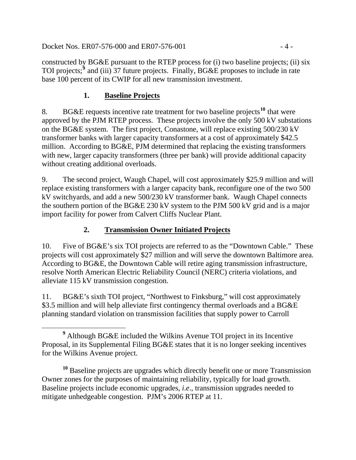Docket Nos. ER07-576-000 and ER07-576-001 - 4 -

constructed by BG&E pursuant to the RTEP process for (i) two baseline projects; (ii) six TOI projects;<sup>[9](#page-3-0)</sup> and (iii) 37 future projects. Finally, BG&E proposes to include in rate base 100 percent of its CWIP for all new transmission investment.

### **1. Baseline Projects**

8. BG&E requests incentive rate treatment for two baseline projects**[10](#page-3-1)** that were approved by the PJM RTEP process. These projects involve the only 500 kV substations on the BG&E system. The first project, Conastone, will replace existing 500/230 kV transformer banks with larger capacity transformers at a cost of approximately \$42.5 million. According to BG&E, PJM determined that replacing the existing transformers with new, larger capacity transformers (three per bank) will provide additional capacity without creating additional overloads.

9. The second project, Waugh Chapel, will cost approximately \$25.9 million and will replace existing transformers with a larger capacity bank, reconfigure one of the two 500 kV switchyards, and add a new 500/230 kV transformer bank. Waugh Chapel connects the southern portion of the BG&E 230 kV system to the PJM 500 kV grid and is a major import facility for power from Calvert Cliffs Nuclear Plant.

## **2. Transmission Owner Initiated Projects**

10. Five of BG&E's six TOI projects are referred to as the "Downtown Cable." These projects will cost approximately \$27 million and will serve the downtown Baltimore area. According to BG&E, the Downtown Cable will retire aging transmission infrastructure, resolve North American Electric Reliability Council (NERC) criteria violations, and alleviate 115 kV transmission congestion.

11. BG&E's sixth TOI project, "Northwest to Finksburg," will cost approximately \$3.5 million and will help alleviate first contingency thermal overloads and a BG&E planning standard violation on transmission facilities that supply power to Carroll

<span id="page-3-1"></span>**<sup>10</sup>** Baseline projects are upgrades which directly benefit one or more Transmission Owner zones for the purposes of maintaining reliability, typically for load growth. Baseline projects include economic upgrades, *i*.*e*., transmission upgrades needed to mitigate unhedgeable congestion. PJM's 2006 RTEP at 11.

<span id="page-3-0"></span>**<sup>9</sup>** Although BG&E included the Wilkins Avenue TOI project in its Incentive Proposal, in its Supplemental Filing BG&E states that it is no longer seeking incentives for the Wilkins Avenue project.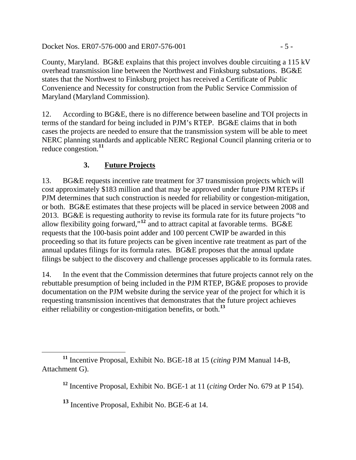Docket Nos. ER07-576-000 and ER07-576-001 - 5 -

County, Maryland. BG&E explains that this project involves double circuiting a 115 kV overhead transmission line between the Northwest and Finksburg substations. BG&E states that the Northwest to Finksburg project has received a Certificate of Public Convenience and Necessity for construction from the Public Service Commission of Maryland (Maryland Commission).

12. According to BG&E, there is no difference between baseline and TOI projects in terms of the standard for being included in PJM's RTEP. BG&E claims that in both cases the projects are needed to ensure that the transmission system will be able to meet NERC planning standards and applicable NERC Regional Council planning criteria or to reduce congestion.**[11](#page-4-0)**

## **3. Future Projects**

13. BG&E requests incentive rate treatment for 37 transmission projects which will cost approximately \$183 million and that may be approved under future PJM RTEPs if PJM determines that such construction is needed for reliability or congestion-mitigation, or both. BG&E estimates that these projects will be placed in service between 2008 and 2013. BG&E is requesting authority to revise its formula rate for its future projects "to allow flexibility going forward,"**[12](#page-4-1)** and to attract capital at favorable terms. BG&E requests that the 100-basis point adder and 100 percent CWIP be awarded in this proceeding so that its future projects can be given incentive rate treatment as part of the annual updates filings for its formula rates. BG&E proposes that the annual update filings be subject to the discovery and challenge processes applicable to its formula rates.

14. In the event that the Commission determines that future projects cannot rely on the rebuttable presumption of being included in the PJM RTEP, BG&E proposes to provide documentation on the PJM website during the service year of the project for which it is requesting transmission incentives that demonstrates that the future project achieves either reliability or congestion-mitigation benefits, or both.**[13](#page-4-2)**

<span id="page-4-2"></span><span id="page-4-1"></span><span id="page-4-0"></span>**<sup>11</sup>** Incentive Proposal, Exhibit No. BGE-18 at 15 (*citing* PJM Manual 14-B, Attachment G).

**<sup>12</sup>** Incentive Proposal, Exhibit No. BGE-1 at 11 (*citing* Order No. 679 at P 154).

**<sup>13</sup>** Incentive Proposal, Exhibit No. BGE-6 at 14.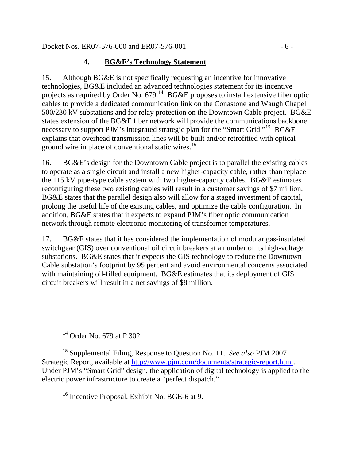# **4. BG&E's Technology Statement**

15. Although BG&E is not specifically requesting an incentive for innovative technologies, BG&E included an advanced technologies statement for its incentive projects as required by Order No. 679.**[14](#page-5-0)** BG&E proposes to install extensive fiber optic cables to provide a dedicated communication link on the Conastone and Waugh Chapel 500/230 kV substations and for relay protection on the Downtown Cable project. BG&E states extension of the BG&E fiber network will provide the communications backbone necessary to support PJM's integrated strategic plan for the "Smart Grid."**[15](#page-5-1)** BG&E explains that overhead transmission lines will be built and/or retrofitted with optical ground wire in place of conventional static wires.**[16](#page-5-2)**

16. BG&E's design for the Downtown Cable project is to parallel the existing cables to operate as a single circuit and install a new higher-capacity cable, rather than replace the 115 kV pipe-type cable system with two higher-capacity cables. BG&E estimates reconfiguring these two existing cables will result in a customer savings of \$7 million. BG&E states that the parallel design also will allow for a staged investment of capital, prolong the useful life of the existing cables, and optimize the cable configuration. In addition, BG&E states that it expects to expand PJM's fiber optic communication network through remote electronic monitoring of transformer temperatures.

17. BG&E states that it has considered the implementation of modular gas-insulated switchgear (GIS) over conventional oil circuit breakers at a number of its high-voltage substations. BG&E states that it expects the GIS technology to reduce the Downtown Cable substation's footprint by 95 percent and avoid environmental concerns associated with maintaining oil-filled equipment. BG&E estimates that its deployment of GIS circuit breakers will result in a net savings of \$8 million.

**<sup>14</sup>** Order No. 679 at P 302.

<span id="page-5-2"></span><span id="page-5-1"></span><span id="page-5-0"></span>**<sup>15</sup>** Supplemental Filing, Response to Question No. 11. *See also* PJM 2007 Strategic Report, available at [http://www.pjm.com/documents/strategic-report.html.](http://www.pjm.com/documents/strategic-report.html) Under PJM's "Smart Grid" design, the application of digital technology is applied to the electric power infrastructure to create a "perfect dispatch."

**<sup>16</sup>** Incentive Proposal, Exhibit No. BGE-6 at 9.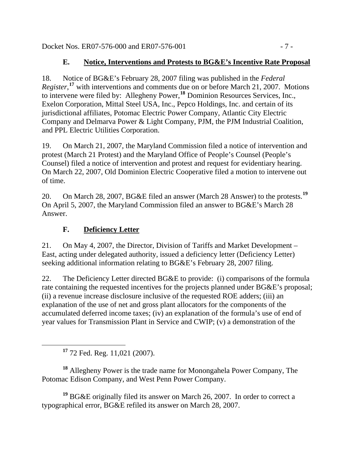Docket Nos. ER07-576-000 and ER07-576-001 - 7 -

# **E. Notice, Interventions and Protests to BG&E's Incentive Rate Proposal**

18. Notice of BG&E's February 28, 2007 filing was published in the *Federal Register*,<sup>[17](#page-6-0)</sup> with interventions and comments due on or before March 21, 2007. Motions to intervene were filed by: Allegheny Power,**[18](#page-6-1)** Dominion Resources Services, Inc., Exelon Corporation, Mittal Steel USA, Inc., Pepco Holdings, Inc. and certain of its jurisdictional affiliates, Potomac Electric Power Company, Atlantic City Electric Company and Delmarva Power & Light Company, PJM, the PJM Industrial Coalition, and PPL Electric Utilities Corporation.

19. On March 21, 2007, the Maryland Commission filed a notice of intervention and protest (March 21 Protest) and the Maryland Office of People's Counsel (People's Counsel) filed a notice of intervention and protest and request for evidentiary hearing. On March 22, 2007, Old Dominion Electric Cooperative filed a motion to intervene out of time.

20. On March 28, 2007, BG&E filed an answer (March 28 Answer) to the protests.**[19](#page-6-2)** On April 5, 2007, the Maryland Commission filed an answer to BG&E's March 28 Answer.

# **F. Deficiency Letter**

21. On May 4, 2007, the Director, Division of Tariffs and Market Development – East, acting under delegated authority, issued a deficiency letter (Deficiency Letter) seeking additional information relating to BG&E's February 28, 2007 filing.

22. The Deficiency Letter directed BG&E to provide: (i) comparisons of the formula rate containing the requested incentives for the projects planned under BG&E's proposal; (ii) a revenue increase disclosure inclusive of the requested ROE adders; (iii) an explanation of the use of net and gross plant allocators for the components of the accumulated deferred income taxes; (iv) an explanation of the formula's use of end of year values for Transmission Plant in Service and CWIP; (v) a demonstration of the

**<sup>17</sup>** 72 Fed. Reg. 11,021 (2007).

<span id="page-6-1"></span><span id="page-6-0"></span>**<sup>18</sup>** Allegheny Power is the trade name for Monongahela Power Company, The Potomac Edison Company, and West Penn Power Company.

<span id="page-6-2"></span>**<sup>19</sup>** BG&E originally filed its answer on March 26, 2007. In order to correct a typographical error, BG&E refiled its answer on March 28, 2007.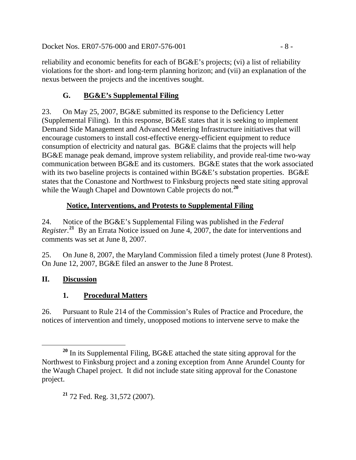Docket Nos. ER07-576-000 and ER07-576-001 - 8 -

reliability and economic benefits for each of BG&E's projects; (vi) a list of reliability violations for the short- and long-term planning horizon; and (vii) an explanation of the nexus between the projects and the incentives sought.

## **G. BG&E's Supplemental Filing**

23. On May 25, 2007, BG&E submitted its response to the Deficiency Letter (Supplemental Filing). In this response, BG&E states that it is seeking to implement Demand Side Management and Advanced Metering Infrastructure initiatives that will encourage customers to install cost-effective energy-efficient equipment to reduce consumption of electricity and natural gas. BG&E claims that the projects will help BG&E manage peak demand, improve system reliability, and provide real-time two-way communication between BG&E and its customers. BG&E states that the work associated with its two baseline projects is contained within BG&E's substation properties. BG&E states that the Conastone and Northwest to Finksburg projects need state siting approval while the Waugh Chapel and Downtown Cable projects do not.<sup>[20](#page-7-0)</sup>

### **Notice, Interventions, and Protests to Supplemental Filing**

24. Notice of the BG&E's Supplemental Filing was published in the *Federal Register*. **[21](#page-7-1)** By an Errata Notice issued on June 4, 2007, the date for interventions and comments was set at June 8, 2007.

25. On June 8, 2007, the Maryland Commission filed a timely protest (June 8 Protest). On June 12, 2007, BG&E filed an answer to the June 8 Protest.

### **II. Discussion**

## **1. Procedural Matters**

26. Pursuant to Rule 214 of the Commission's Rules of Practice and Procedure, the notices of intervention and timely, unopposed motions to intervene serve to make the

<span id="page-7-1"></span><span id="page-7-0"></span>**<sup>20</sup>** In its Supplemental Filing, BG&E attached the state siting approval for the Northwest to Finksburg project and a zoning exception from Anne Arundel County for the Waugh Chapel project. It did not include state siting approval for the Conastone project.

**<sup>21</sup>** 72 Fed. Reg. 31,572 (2007).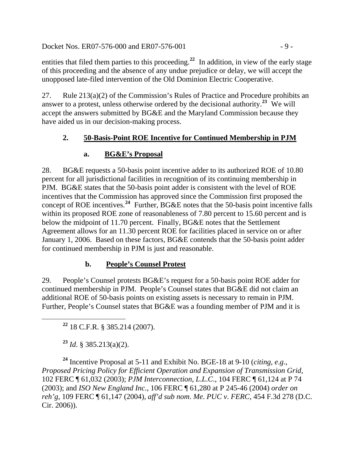Docket Nos. ER07-576-000 and ER07-576-001 - 9 -

entities that filed them parties to this proceeding.<sup>[22](#page-8-0)</sup> In addition, in view of the early stage of this proceeding and the absence of any undue prejudice or delay, we will accept the unopposed late-filed intervention of the Old Dominion Electric Cooperative.

27. Rule 213(a)(2) of the Commission's Rules of Practice and Procedure prohibits an answer to a protest, unless otherwise ordered by the decisional authority.<sup>[23](#page-8-1)</sup> We will accept the answers submitted by BG&E and the Maryland Commission because they have aided us in our decision-making process.

### **2. 50-Basis-Point ROE Incentive for Continued Membership in PJM**

### **a. BG&E's Proposal**

28. BG&E requests a 50-basis point incentive adder to its authorized ROE of 10.80 percent for all jurisdictional facilities in recognition of its continuing membership in PJM. BG&E states that the 50-basis point adder is consistent with the level of ROE incentives that the Commission has approved since the Commission first proposed the concept of ROE incentives.**[24](#page-8-2)** Further, BG&E notes that the 50-basis point incentive falls within its proposed ROE zone of reasonableness of 7.80 percent to 15.60 percent and is below the midpoint of 11.70 percent. Finally, BG&E notes that the Settlement Agreement allows for an 11.30 percent ROE for facilities placed in service on or after January 1, 2006. Based on these factors, BG&E contends that the 50-basis point adder for continued membership in PJM is just and reasonable.

## **b. People's Counsel Protest**

29. People's Counsel protests BG&E's request for a 50-basis point ROE adder for continued membership in PJM. People's Counsel states that BG&E did not claim an additional ROE of 50-basis points on existing assets is necessary to remain in PJM. Further, People's Counsel states that BG&E was a founding member of PJM and it is

**<sup>22</sup>** 18 C.F.R. § 385.214 (2007).

**<sup>23</sup>** *Id*. § 385.213(a)(2).

<span id="page-8-2"></span><span id="page-8-1"></span><span id="page-8-0"></span>**<sup>24</sup>** Incentive Proposal at 5-11 and Exhibit No. BGE-18 at 9-10 (*citing, e*.*g*., *Proposed Pricing Policy for Efficient Operation and Expansion of Transmission Grid*, 102 FERC ¶ 61,032 (2003); *PJM Interconnection, L*.*L*.*C*., 104 FERC ¶ 61,124 at P 74 (2003); and *ISO New England Inc*., 106 FERC ¶ 61,280 at P 245-46 (2004) *order on reh'g*, 109 FERC ¶ 61,147 (2004), *aff'd sub nom*. *Me*. *PUC v*. *FERC*, 454 F.3d 278 (D.C. Cir. 2006)).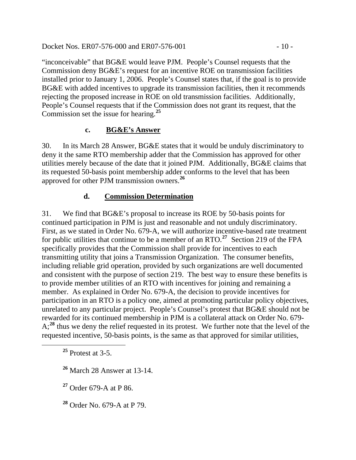Docket Nos. ER07-576-000 and ER07-576-001 - 10 -

"inconceivable" that BG&E would leave PJM. People's Counsel requests that the Commission deny BG&E's request for an incentive ROE on transmission facilities installed prior to January 1, 2006. People's Counsel states that, if the goal is to provide BG&E with added incentives to upgrade its transmission facilities, then it recommends rejecting the proposed increase in ROE on old transmission facilities. Additionally, People's Counsel requests that if the Commission does not grant its request, that the Commission set the issue for hearing.**[25](#page-9-0)**

#### **c. BG&E's Answer**

30. In its March 28 Answer, BG&E states that it would be unduly discriminatory to deny it the same RTO membership adder that the Commission has approved for other utilities merely because of the date that it joined PJM. Additionally, BG&E claims that its requested 50-basis point membership adder conforms to the level that has been approved for other PJM transmission owners.**[26](#page-9-1)**

### **d. Commission Determination**

31. We find that BG&E's proposal to increase its ROE by 50-basis points for continued participation in PJM is just and reasonable and not unduly discriminatory. First, as we stated in Order No. 679-A, we will authorize incentive-based rate treatment for public utilities that continue to be a member of an RTO.**[27](#page-9-2)** Section 219 of the FPA specifically provides that the Commission shall provide for incentives to each transmitting utility that joins a Transmission Organization. The consumer benefits, including reliable grid operation, provided by such organizations are well documented and consistent with the purpose of section 219. The best way to ensure these benefits is to provide member utilities of an RTO with incentives for joining and remaining a member. As explained in Order No. 679-A, the decision to provide incentives for participation in an RTO is a policy one, aimed at promoting particular policy objectives, unrelated to any particular project. People's Counsel's protest that BG&E should not be rewarded for its continued membership in PJM is a collateral attack on Order No. 679- A;<sup>[28](#page-9-3)</sup> thus we deny the relief requested in its protest. We further note that the level of the requested incentive, 50-basis points, is the same as that approved for similar utilities,

<span id="page-9-0"></span>**<sup>25</sup>** Protest at 3-5.

<span id="page-9-1"></span>**<sup>26</sup>** March 28 Answer at 13-14.

<span id="page-9-2"></span>**<sup>27</sup>** Order 679-A at P 86.

<span id="page-9-3"></span>**<sup>28</sup>** Order No. 679-A at P 79.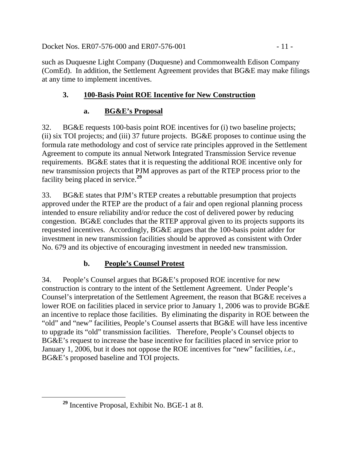Docket Nos. ER07-576-000 and ER07-576-001 - 11 -

such as Duquesne Light Company (Duquesne) and Commonwealth Edison Company (ComEd). In addition, the Settlement Agreement provides that BG&E may make filings at any time to implement incentives.

# **3. 100-Basis Point ROE Incentive for New Construction**

# **a. BG&E's Proposal**

32. BG&E requests 100-basis point ROE incentives for (i) two baseline projects; (ii) six TOI projects; and (iii) 37 future projects. BG&E proposes to continue using the formula rate methodology and cost of service rate principles approved in the Settlement Agreement to compute its annual Network Integrated Transmission Service revenue requirements. BG&E states that it is requesting the additional ROE incentive only for new transmission projects that PJM approves as part of the RTEP process prior to the facility being placed in service.**[29](#page-10-0)**

33. BG&E states that PJM's RTEP creates a rebuttable presumption that projects approved under the RTEP are the product of a fair and open regional planning process intended to ensure reliability and/or reduce the cost of delivered power by reducing congestion. BG&E concludes that the RTEP approval given to its projects supports its requested incentives. Accordingly, BG&E argues that the 100-basis point adder for investment in new transmission facilities should be approved as consistent with Order No. 679 and its objective of encouraging investment in needed new transmission.

# **b. People's Counsel Protest**

34. People's Counsel argues that BG&E's proposed ROE incentive for new construction is contrary to the intent of the Settlement Agreement. Under People's Counsel's interpretation of the Settlement Agreement, the reason that BG&E receives a lower ROE on facilities placed in service prior to January 1, 2006 was to provide BG&E an incentive to replace those facilities. By eliminating the disparity in ROE between the "old" and "new" facilities, People's Counsel asserts that BG&E will have less incentive to upgrade its "old" transmission facilities. Therefore, People's Counsel objects to BG&E's request to increase the base incentive for facilities placed in service prior to January 1, 2006, but it does not oppose the ROE incentives for "new" facilities, *i.e.*, BG&E's proposed baseline and TOI projects.

<span id="page-10-0"></span>**<sup>29</sup>** Incentive Proposal, Exhibit No. BGE-1 at 8.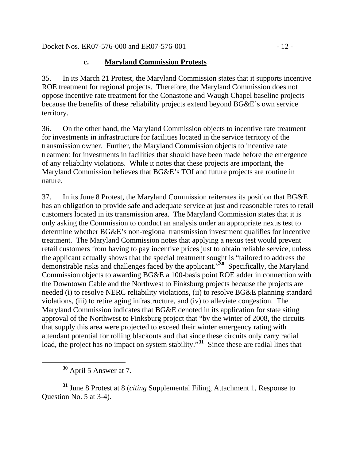Docket Nos. ER07-576-000 and ER07-576-001 - 12 -

### **c. Maryland Commission Protests**

35. In its March 21 Protest, the Maryland Commission states that it supports incentive ROE treatment for regional projects. Therefore, the Maryland Commission does not oppose incentive rate treatment for the Conastone and Waugh Chapel baseline projects because the benefits of these reliability projects extend beyond BG&E's own service territory.

36. On the other hand, the Maryland Commission objects to incentive rate treatment for investments in infrastructure for facilities located in the service territory of the transmission owner. Further, the Maryland Commission objects to incentive rate treatment for investments in facilities that should have been made before the emergence of any reliability violations. While it notes that these projects are important, the Maryland Commission believes that BG&E's TOI and future projects are routine in nature.

37. In its June 8 Protest, the Maryland Commission reiterates its position that BG&E has an obligation to provide safe and adequate service at just and reasonable rates to retail customers located in its transmission area. The Maryland Commission states that it is only asking the Commission to conduct an analysis under an appropriate nexus test to determine whether BG&E's non-regional transmission investment qualifies for incentive treatment. The Maryland Commission notes that applying a nexus test would prevent retail customers from having to pay incentive prices just to obtain reliable service, unless the applicant actually shows that the special treatment sought is "tailored to address the demonstrable risks and challenges faced by the applicant."**[30](#page-11-0)** Specifically, the Maryland Commission objects to awarding BG&E a 100-basis point ROE adder in connection with the Downtown Cable and the Northwest to Finksburg projects because the projects are needed (i) to resolve NERC reliability violations, (ii) to resolve BG&E planning standard violations, (iii) to retire aging infrastructure, and (iv) to alleviate congestion. The Maryland Commission indicates that BG&E denoted in its application for state siting approval of the Northwest to Finksburg project that "by the winter of 2008, the circuits that supply this area were projected to exceed their winter emergency rating with attendant potential for rolling blackouts and that since these circuits only carry radial load, the project has no impact on system stability."<sup>[31](#page-11-1)</sup> Since these are radial lines that

**<sup>30</sup>** April 5 Answer at 7.

<span id="page-11-1"></span><span id="page-11-0"></span>**<sup>31</sup>** June 8 Protest at 8 (*citing* Supplemental Filing, Attachment 1, Response to Question No. 5 at 3-4).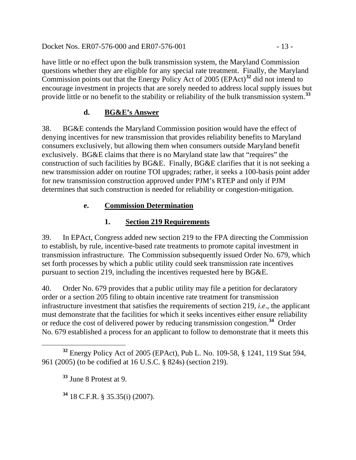Docket Nos. ER07-576-000 and ER07-576-001 - 13 -

have little or no effect upon the bulk transmission system, the Maryland Commission questions whether they are eligible for any special rate treatment. Finally, the Maryland Commission points out that the Energy Policy Act of 2005 (EPAct)**[32](#page-12-0)** did not intend to encourage investment in projects that are sorely needed to address local supply issues but provide little or no benefit to the stability or reliability of the bulk transmission system.**[33](#page-12-1)**

### **d. BG&E's Answer**

38. BG&E contends the Maryland Commission position would have the effect of denying incentives for new transmission that provides reliability benefits to Maryland consumers exclusively, but allowing them when consumers outside Maryland benefit exclusively. BG&E claims that there is no Maryland state law that "requires" the construction of such facilities by BG&E. Finally, BG&E clarifies that it is not seeking a new transmission adder on routine TOI upgrades; rather, it seeks a 100-basis point adder for new transmission construction approved under PJM's RTEP and only if PJM determines that such construction is needed for reliability or congestion-mitigation.

## **e. Commission Determination**

# **1. Section 219 Requirements**

39. In EPAct, Congress added new section 219 to the FPA directing the Commission to establish, by rule, incentive-based rate treatments to promote capital investment in transmission infrastructure. The Commission subsequently issued Order No. 679, which set forth processes by which a public utility could seek transmission rate incentives pursuant to section 219, including the incentives requested here by BG&E.

40. Order No. 679 provides that a public utility may file a petition for declaratory order or a section 205 filing to obtain incentive rate treatment for transmission infrastructure investment that satisfies the requirements of section 219, *i.e*., the applicant must demonstrate that the facilities for which it seeks incentives either ensure reliability or reduce the cost of delivered power by reducing transmission congestion.**[34](#page-12-2)** Order No. 679 established a process for an applicant to follow to demonstrate that it meets this

**<sup>34</sup>** 18 C.F.R. § 35.35(i) (2007).

<span id="page-12-2"></span><span id="page-12-1"></span><span id="page-12-0"></span>**<sup>32</sup>** Energy Policy Act of 2005 (EPAct), Pub L. No. 109-58, § 1241, 119 Stat 594, 961 (2005) (to be codified at 16 U.S.C. § 824s) (section 219).

**<sup>33</sup>** June 8 Protest at 9.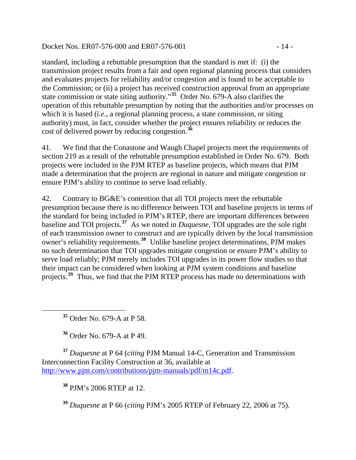Docket Nos. ER07-576-000 and ER07-576-001 - 14 -

standard, including a rebuttable presumption that the standard is met if: (i) the transmission project results from a fair and open regional planning process that considers and evaluates projects for reliability and/or congestion and is found to be acceptable to the Commission; or (ii) a project has received construction approval from an appropriate state commission or state siting authority."**[35](#page-13-0)** Order No. 679-A also clarifies the operation of this rebuttable presumption by noting that the authorities and/or processes on which it is based *(i.e.*, a regional planning process, a state commission, or siting authority) must, in fact, consider whether the project ensures reliability or reduces the cost of delivered power by reducing congestion.**[36](#page-13-1)**

41. We find that the Conastone and Waugh Chapel projects meet the requirements of section 219 as a result of the rebuttable presumption established in Order No. 679. Both projects were included in the PJM RTEP as baseline projects, which means that PJM made a determination that the projects are regional in nature and mitigate congestion or ensure PJM's ability to continue to serve load reliably.

42. Contrary to BG&E's contention that all TOI projects meet the rebuttable presumption because there is no difference between TOI and baseline projects in terms of the standard for being included in PJM's RTEP, there are important differences between baseline and TOI projects.**[37](#page-13-2)** As we noted in *Duquesne,* TOI upgrades are the sole right of each transmission owner to construct and are typically driven by the local transmission owner's reliability requirements.**[38](#page-13-3)** Unlike baseline project determinations, PJM makes no such determination that TOI upgrades mitigate congestion or ensure PJM's ability to serve load reliably; PJM merely includes TOI upgrades in its power flow studies so that their impact can be considered when looking at PJM system conditions and baseline projects.**[39](#page-13-4)** Thus, we find that the PJM RTEP process has made no determinations with

**<sup>35</sup>** Order No. 679-A at P 58.

<span id="page-13-0"></span> $\overline{a}$ 

**<sup>36</sup>** Order No. 679-A at P 49.

<span id="page-13-3"></span><span id="page-13-2"></span><span id="page-13-1"></span>**<sup>37</sup>** *Duquesne* at P 64 (*citing* PJM Manual 14-C, Generation and Transmission Interconnection Facility Construction at 36, available at [http://www.pjm.com/contributions/pjm-manuals/pdf/m14c.pdf](http://www.pjm.com/contributions/pjm-manuals/pdf/m14b.pdf).

**<sup>38</sup>** PJM's 2006 RTEP at 12.

<span id="page-13-4"></span>**<sup>39</sup>** *Duquesne* at P 66 (*citing* PJM's 2005 RTEP of February 22, 2006 at 75).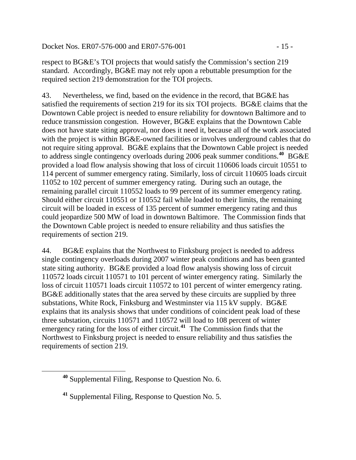Docket Nos. ER07-576-000 and ER07-576-001 - 15 -

respect to BG&E's TOI projects that would satisfy the Commission's section 219 standard. Accordingly, BG&E may not rely upon a rebuttable presumption for the required section 219 demonstration for the TOI projects.

43. Nevertheless, we find, based on the evidence in the record, that BG&E has satisfied the requirements of section 219 for its six TOI projects. BG&E claims that the Downtown Cable project is needed to ensure reliability for downtown Baltimore and to reduce transmission congestion. However, BG&E explains that the Downtown Cable does not have state siting approval, nor does it need it, because all of the work associated with the project is within BG&E-owned facilities or involves underground cables that do not require siting approval. BG&E explains that the Downtown Cable project is needed to address single contingency overloads during 2006 peak summer conditions.**[40](#page-14-0)** BG&E provided a load flow analysis showing that loss of circuit 110606 loads circuit 10551 to 114 percent of summer emergency rating. Similarly, loss of circuit 110605 loads circuit 11052 to 102 percent of summer emergency rating. During such an outage, the remaining parallel circuit 110552 loads to 99 percent of its summer emergency rating. Should either circuit 110551 or 110552 fail while loaded to their limits, the remaining circuit will be loaded in excess of 135 percent of summer emergency rating and thus could jeopardize 500 MW of load in downtown Baltimore. The Commission finds that the Downtown Cable project is needed to ensure reliability and thus satisfies the requirements of section 219.

44. BG&E explains that the Northwest to Finksburg project is needed to address single contingency overloads during 2007 winter peak conditions and has been granted state siting authority. BG&E provided a load flow analysis showing loss of circuit 110572 loads circuit 110571 to 101 percent of winter emergency rating. Similarly the loss of circuit 110571 loads circuit 110572 to 101 percent of winter emergency rating. BG&E additionally states that the area served by these circuits are supplied by three substations, White Rock, Finksburg and Westminster via 115 kV supply. BG&E explains that its analysis shows that under conditions of coincident peak load of these three substation, circuits 110571 and 110572 will load to 108 percent of winter emergency rating for the loss of either circuit.<sup>[41](#page-14-1)</sup> The Commission finds that the Northwest to Finksburg project is needed to ensure reliability and thus satisfies the requirements of section 219.

<span id="page-14-1"></span><span id="page-14-0"></span> $\overline{a}$ 

**<sup>40</sup>** Supplemental Filing, Response to Question No. 6.

**<sup>41</sup>** Supplemental Filing, Response to Question No. 5.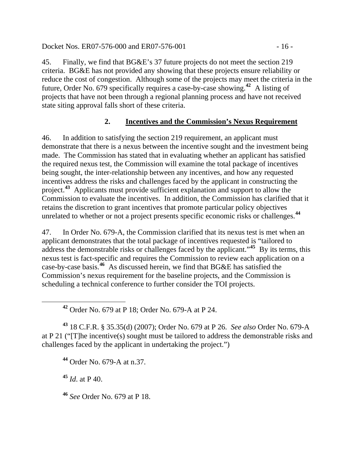Docket Nos. ER07-576-000 and ER07-576-001 - 16 -

45. Finally, we find that BG&E's 37 future projects do not meet the section 219 criteria. BG&E has not provided any showing that these projects ensure reliability or reduce the cost of congestion. Although some of the projects may meet the criteria in the future, Order No. 679 specifically requires a case-by-case showing.**[42](#page-15-0)** A listing of projects that have not been through a regional planning process and have not received state siting approval falls short of these criteria.

## **2. Incentives and the Commission's Nexus Requirement**

46. In addition to satisfying the section 219 requirement, an applicant must demonstrate that there is a nexus between the incentive sought and the investment being made. The Commission has stated that in evaluating whether an applicant has satisfied the required nexus test, the Commission will examine the total package of incentives being sought, the inter-relationship between any incentives, and how any requested incentives address the risks and challenges faced by the applicant in constructing the project.**[43](#page-15-1)** Applicants must provide sufficient explanation and support to allow the Commission to evaluate the incentives. In addition, the Commission has clarified that it retains the discretion to grant incentives that promote particular policy objectives unrelated to whether or not a project presents specific economic risks or challenges.**[44](#page-15-2)**

47. In Order No. 679-A, the Commission clarified that its nexus test is met when an applicant demonstrates that the total package of incentives requested is "tailored to address the demonstrable risks or challenges faced by the applicant."**[45](#page-15-3)** By its terms, this nexus test is fact-specific and requires the Commission to review each application on a case-by-case basis.**[46](#page-15-4)** As discussed herein, we find that BG&E has satisfied the Commission's nexus requirement for the baseline projects, and the Commission is scheduling a technical conference to further consider the TOI projects.

**<sup>42</sup>** Order No. 679 at P 18; Order No. 679-A at P 24.

<span id="page-15-2"></span><span id="page-15-1"></span><span id="page-15-0"></span>**<sup>43</sup>** 18 C.F.R. § 35.35(d) (2007); Order No. 679 at P 26. *See also* Order No. 679-A at P 21 ("[T]he incentive(s) sought must be tailored to address the demonstrable risks and challenges faced by the applicant in undertaking the project.")

**<sup>44</sup>** Order No. 679-A at n.37.

<span id="page-15-3"></span>**<sup>45</sup>** *Id*. at P 40.

<span id="page-15-4"></span>**<sup>46</sup>** *See* Order No. 679 at P 18.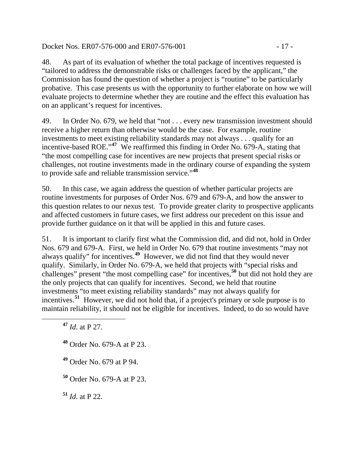Docket Nos. ER07-576-000 and ER07-576-001 - 17 -

48. As part of its evaluation of whether the total package of incentives requested is "tailored to address the demonstrable risks or challenges faced by the applicant," the Commission has found the question of whether a project is "routine" to be particularly probative. This case presents us with the opportunity to further elaborate on how we will evaluate projects to determine whether they are routine and the effect this evaluation has on an applicant's request for incentives.

49. In Order No. 679, we held that "not . . . every new transmission investment should receive a higher return than otherwise would be the case. For example, routine investments to meet existing reliability standards may not always . . . qualify for an incentive-based ROE."**[47](#page-16-0)** We reaffirmed this finding in Order No. 679-A, stating that "the most compelling case for incentives are new projects that present special risks or challenges, not routine investments made in the ordinary course of expanding the system to provide safe and reliable transmission service."**[48](#page-16-1)**

50. In this case, we again address the question of whether particular projects are routine investments for purposes of Order Nos. 679 and 679-A, and how the answer to this question relates to our nexus test. To provide greater clarity to prospective applicants and affected customers in future cases, we first address our precedent on this issue and provide further guidance on it that will be applied in this and future cases.

51. It is important to clarify first what the Commission did, and did not, hold in Order Nos. 679 and 679-A. First, we held in Order No. 679 that routine investments "may not always qualify" for incentives.**[49](#page-16-2)** However, we did not find that they would never qualify. Similarly, in Order No. 679-A, we held that projects with "special risks and challenges" present "the most compelling case" for incentives,**[50](#page-16-3)** but did not hold they are the only projects that can qualify for incentives. Second, we held that routine investments "to meet existing reliability standards" may not always qualify for incentives.**[51](#page-16-4)** However, we did not hold that, if a project's primary or sole purpose is to maintain reliability, it should not be eligible for incentives. Indeed, to do so would have

**<sup>47</sup>** *Id*. at P 27.

<span id="page-16-2"></span><span id="page-16-1"></span><span id="page-16-0"></span> $\overline{a}$ 

**<sup>48</sup>** Order No. 679-A at P 23.

**<sup>49</sup>** Order No. 679 at P 94.

<span id="page-16-3"></span>**<sup>50</sup>** Order No. 679-A at P 23.

<span id="page-16-4"></span>**<sup>51</sup>** *Id*. at P 22.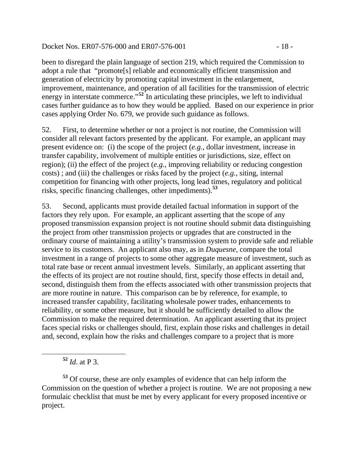#### Docket Nos. ER07-576-000 and ER07-576-001 - 18 -

been to disregard the plain language of section 219, which required the Commission to adopt a rule that "promote[s] reliable and economically efficient transmission and generation of electricity by promoting capital investment in the enlargement, improvement, maintenance, and operation of all facilities for the transmission of electric energy in interstate commerce."<sup>[52](#page-17-0)</sup> In articulating these principles, we left to individual cases further guidance as to how they would be applied. Based on our experience in prior cases applying Order No. 679, we provide such guidance as follows.

52. First, to determine whether or not a project is not routine, the Commission will consider all relevant factors presented by the applicant. For example, an applicant may present evidence on: (i) the scope of the project (*e.g.*, dollar investment, increase in transfer capability, involvement of multiple entities or jurisdictions, size, effect on region); (ii) the effect of the project (*e.g.*, improving reliability or reducing congestion costs) ; and (iii) the challenges or risks faced by the project (*e.g.*, siting, internal competition for financing with other projects, long lead times, regulatory and political risks, specific financing challenges, other impediments).**[53](#page-17-1)**

53. Second, applicants must provide detailed factual information in support of the factors they rely upon. For example, an applicant asserting that the scope of any proposed transmission expansion project is not routine should submit data distinguishing the project from other transmission projects or upgrades that are constructed in the ordinary course of maintaining a utility's transmission system to provide safe and reliable service to its customers. An applicant also may, as in *Duquesne*, compare the total investment in a range of projects to some other aggregate measure of investment, such as total rate base or recent annual investment levels. Similarly, an applicant asserting that the effects of its project are not routine should, first, specify those effects in detail and, second, distinguish them from the effects associated with other transmission projects that are more routine in nature. This comparison can be by reference, for example, to increased transfer capability, facilitating wholesale power trades, enhancements to reliability, or some other measure, but it should be sufficiently detailed to allow the Commission to make the required determination. An applicant asserting that its project faces special risks or challenges should, first, explain those risks and challenges in detail and, second, explain how the risks and challenges compare to a project that is more

**<sup>52</sup>** *Id*. at P 3.

<span id="page-17-0"></span> $\overline{a}$ 

<span id="page-17-1"></span>**<sup>53</sup>** Of course, these are only examples of evidence that can help inform the Commission on the question of whether a project is routine. We are not proposing a new formulaic checklist that must be met by every applicant for every proposed incentive or project.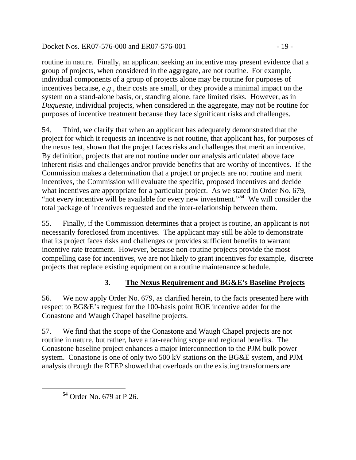Docket Nos. ER07-576-000 and ER07-576-001 - 19 -

routine in nature. Finally, an applicant seeking an incentive may present evidence that a group of projects, when considered in the aggregate, are not routine. For example, individual components of a group of projects alone may be routine for purposes of incentives because, *e.g*., their costs are small, or they provide a minimal impact on the system on a stand-alone basis, or, standing alone, face limited risks. However, as in *Duquesne*, individual projects, when considered in the aggregate, may not be routine for purposes of incentive treatment because they face significant risks and challenges.

54. Third, we clarify that when an applicant has adequately demonstrated that the project for which it requests an incentive is not routine, that applicant has, for purposes of the nexus test, shown that the project faces risks and challenges that merit an incentive. By definition, projects that are not routine under our analysis articulated above face inherent risks and challenges and/or provide benefits that are worthy of incentives. If the Commission makes a determination that a project or projects are not routine and merit incentives, the Commission will evaluate the specific, proposed incentives and decide what incentives are appropriate for a particular project. As we stated in Order No. 679, "not every incentive will be available for every new investment."**[54](#page-18-0)** We will consider the total package of incentives requested and the inter-relationship between them.

55. Finally, if the Commission determines that a project is routine, an applicant is not necessarily foreclosed from incentives. The applicant may still be able to demonstrate that its project faces risks and challenges or provides sufficient benefits to warrant incentive rate treatment. However, because non-routine projects provide the most compelling case for incentives, we are not likely to grant incentives for example, discrete projects that replace existing equipment on a routine maintenance schedule.

## **3. The Nexus Requirement and BG&E's Baseline Projects**

56. We now apply Order No. 679, as clarified herein, to the facts presented here with respect to BG&E's request for the 100-basis point ROE incentive adder for the Conastone and Waugh Chapel baseline projects.

57. We find that the scope of the Conastone and Waugh Chapel projects are not routine in nature, but rather, have a far-reaching scope and regional benefits. The Conastone baseline project enhances a major interconnection to the PJM bulk power system. Conastone is one of only two 500 kV stations on the BG&E system, and PJM analysis through the RTEP showed that overloads on the existing transformers are

<span id="page-18-0"></span>**<sup>54</sup>** Order No. 679 at P 26.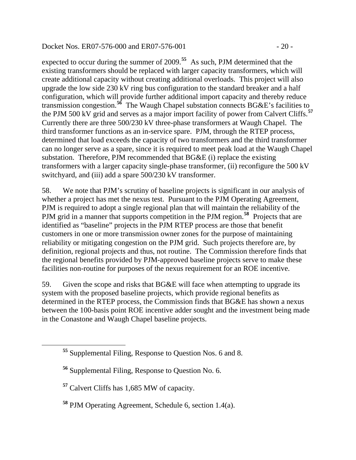#### Docket Nos. ER07-576-000 and ER07-576-001 - 20 -

expected to occur during the summer of 2009.**[55](#page-19-0)** As such, PJM determined that the existing transformers should be replaced with larger capacity transformers, which will create additional capacity without creating additional overloads. This project will also upgrade the low side 230 kV ring bus configuration to the standard breaker and a half configuration, which will provide further additional import capacity and thereby reduce transmission congestion.**[56](#page-19-1)** The Waugh Chapel substation connects BG&E's facilities to the PJM 500 kV grid and serves as a major import facility of power from Calvert Cliffs.**[57](#page-19-2)** Currently there are three 500/230 kV three-phase transformers at Waugh Chapel. The third transformer functions as an in-service spare. PJM, through the RTEP process, determined that load exceeds the capacity of two transformers and the third transformer can no longer serve as a spare, since it is required to meet peak load at the Waugh Chapel substation. Therefore, PJM recommended that BG&E (i) replace the existing transformers with a larger capacity single-phase transformer, (ii) reconfigure the 500 kV switchyard, and (iii) add a spare 500/230 kV transformer.

58. We note that PJM's scrutiny of baseline projects is significant in our analysis of whether a project has met the nexus test. Pursuant to the PJM Operating Agreement, PJM is required to adopt a single regional plan that will maintain the reliability of the PJM grid in a manner that supports competition in the PJM region.<sup>[58](#page-19-3)</sup> Projects that are identified as "baseline" projects in the PJM RTEP process are those that benefit customers in one or more transmission owner zones for the purpose of maintaining reliability or mitigating congestion on the PJM grid. Such projects therefore are, by definition, regional projects and thus, not routine. The Commission therefore finds that the regional benefits provided by PJM-approved baseline projects serve to make these facilities non-routine for purposes of the nexus requirement for an ROE incentive.

59. Given the scope and risks that BG&E will face when attempting to upgrade its system with the proposed baseline projects, which provide regional benefits as determined in the RTEP process, the Commission finds that BG&E has shown a nexus between the 100-basis point ROE incentive adder sought and the investment being made in the Conastone and Waugh Chapel baseline projects.

<span id="page-19-2"></span><span id="page-19-1"></span><span id="page-19-0"></span>

**<sup>55</sup>** Supplemental Filing, Response to Question Nos. 6 and 8.

**<sup>56</sup>** Supplemental Filing, Response to Question No. 6.

**<sup>57</sup>** Calvert Cliffs has 1,685 MW of capacity.

<span id="page-19-3"></span>**<sup>58</sup>** PJM Operating Agreement, Schedule 6, section 1.4(a).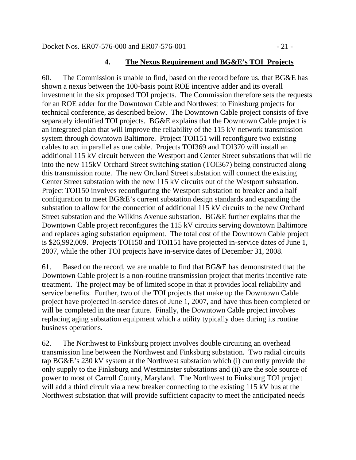#### **4. The Nexus Requirement and BG&E's TOI Projects**

60. The Commission is unable to find, based on the record before us, that BG&E has shown a nexus between the 100-basis point ROE incentive adder and its overall investment in the six proposed TOI projects. The Commission therefore sets the requests for an ROE adder for the Downtown Cable and Northwest to Finksburg projects for technical conference, as described below. The Downtown Cable project consists of five separately identified TOI projects. BG&E explains that the Downtown Cable project is an integrated plan that will improve the reliability of the 115 kV network transmission system through downtown Baltimore. Project TOI151 will reconfigure two existing cables to act in parallel as one cable. Projects TOI369 and TOI370 will install an additional 115 kV circuit between the Westport and Center Street substations that will tie into the new 115kV Orchard Street switching station (TOI367) being constructed along this transmission route. The new Orchard Street substation will connect the existing Center Street substation with the new 115 kV circuits out of the Westport substation. Project TOI150 involves reconfiguring the Westport substation to breaker and a half configuration to meet BG&E's current substation design standards and expanding the substation to allow for the connection of additional 115 kV circuits to the new Orchard Street substation and the Wilkins Avenue substation. BG&E further explains that the Downtown Cable project reconfigures the 115 kV circuits serving downtown Baltimore and replaces aging substation equipment. The total cost of the Downtown Cable project is \$26,992,009. Projects TOI150 and TOI151 have projected in-service dates of June 1, 2007, while the other TOI projects have in-service dates of December 31, 2008.

61. Based on the record, we are unable to find that BG&E has demonstrated that the Downtown Cable project is a non-routine transmission project that merits incentive rate treatment. The project may be of limited scope in that it provides local reliability and service benefits. Further, two of the TOI projects that make up the Downtown Cable project have projected in-service dates of June 1, 2007, and have thus been completed or will be completed in the near future. Finally, the Downtown Cable project involves replacing aging substation equipment which a utility typically does during its routine business operations.

62. The Northwest to Finksburg project involves double circuiting an overhead transmission line between the Northwest and Finksburg substation. Two radial circuits tap BG&E's 230 kV system at the Northwest substation which (i) currently provide the only supply to the Finksburg and Westminster substations and (ii) are the sole source of power to most of Carroll County, Maryland. The Northwest to Finksburg TOI project will add a third circuit via a new breaker connecting to the existing 115 kV bus at the Northwest substation that will provide sufficient capacity to meet the anticipated needs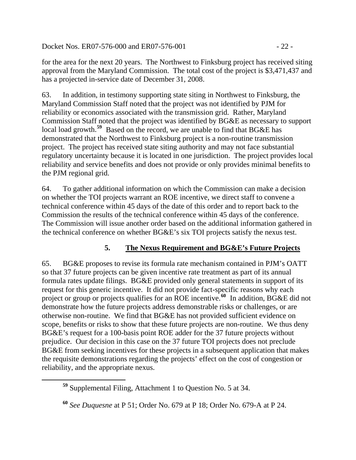Docket Nos. ER07-576-000 and ER07-576-001 - 22 -

for the area for the next 20 years. The Northwest to Finksburg project has received siting approval from the Maryland Commission. The total cost of the project is \$3,471,437 and has a projected in-service date of December 31, 2008.

63. In addition, in testimony supporting state siting in Northwest to Finksburg, the Maryland Commission Staff noted that the project was not identified by PJM for reliability or economics associated with the transmission grid. Rather, Maryland Commission Staff noted that the project was identified by BG&E as necessary to support local load growth.**[59](#page-21-0)** Based on the record, we are unable to find that BG&E has demonstrated that the Northwest to Finksburg project is a non-routine transmission project. The project has received state siting authority and may not face substantial regulatory uncertainty because it is located in one jurisdiction. The project provides local reliability and service benefits and does not provide or only provides minimal benefits to the PJM regional grid.

64. To gather additional information on which the Commission can make a decision on whether the TOI projects warrant an ROE incentive, we direct staff to convene a technical conference within 45 days of the date of this order and to report back to the Commission the results of the technical conference within 45 days of the conference. The Commission will issue another order based on the additional information gathered in the technical conference on whether BG&E's six TOI projects satisfy the nexus test.

## **5. The Nexus Requirement and BG&E's Future Projects**

65. BG&E proposes to revise its formula rate mechanism contained in PJM's OATT so that 37 future projects can be given incentive rate treatment as part of its annual formula rates update filings. BG&E provided only general statements in support of its request for this generic incentive. It did not provide fact-specific reasons why each project or group or projects qualifies for an ROE incentive.<sup>[60](#page-21-1)</sup> In addition, BG&E did not demonstrate how the future projects address demonstrable risks or challenges, or are otherwise non-routine. We find that BG&E has not provided sufficient evidence on scope, benefits or risks to show that these future projects are non-routine. We thus deny BG&E's request for a 100-basis point ROE adder for the 37 future projects without prejudice. Our decision in this case on the 37 future TOI projects does not preclude BG&E from seeking incentives for these projects in a subsequent application that makes the requisite demonstrations regarding the projects' effect on the cost of congestion or reliability, and the appropriate nexus.

<span id="page-21-0"></span>**<sup>59</sup>** Supplemental Filing, Attachment 1 to Question No. 5 at 34.

<span id="page-21-1"></span>**<sup>60</sup>** *See Duquesne* at P 51; Order No. 679 at P 18; Order No. 679-A at P 24.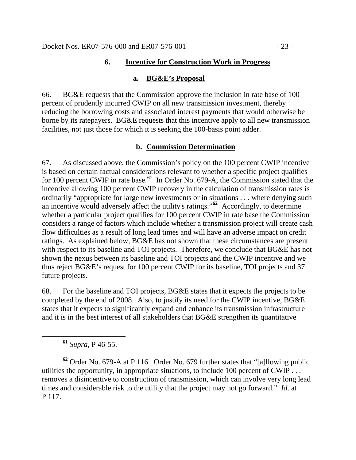#### **6. Incentive for Construction Work in Progress**

#### **a. BG&E's Proposal**

66. BG&E requests that the Commission approve the inclusion in rate base of 100 percent of prudently incurred CWIP on all new transmission investment, thereby reducing the borrowing costs and associated interest payments that would otherwise be borne by its ratepayers. BG&E requests that this incentive apply to all new transmission facilities, not just those for which it is seeking the 100-basis point adder.

#### **b. Commission Determination**

67. As discussed above, the Commission's policy on the 100 percent CWIP incentive is based on certain factual considerations relevant to whether a specific project qualifies for 100 percent CWIP in rate base.**[61](#page-22-0)** In Order No. 679-A, the Commission stated that the incentive allowing 100 percent CWIP recovery in the calculation of transmission rates is ordinarily "appropriate for large new investments or in situations . . . where denying such an incentive would adversely affect the utility's ratings."**[62](#page-22-1)** Accordingly, to determine whether a particular project qualifies for 100 percent CWIP in rate base the Commission considers a range of factors which include whether a transmission project will create cash flow difficulties as a result of long lead times and will have an adverse impact on credit ratings. As explained below, BG&E has not shown that these circumstances are present with respect to its baseline and TOI projects. Therefore, we conclude that BG&E has not shown the nexus between its baseline and TOI projects and the CWIP incentive and we thus reject BG&E's request for 100 percent CWIP for its baseline, TOI projects and 37 future projects.

68. For the baseline and TOI projects, BG&E states that it expects the projects to be completed by the end of 2008. Also, to justify its need for the CWIP incentive, BG&E states that it expects to significantly expand and enhance its transmission infrastructure and it is in the best interest of all stakeholders that BG&E strengthen its quantitative

**<sup>61</sup>** *Supra,* P 46-55.

<span id="page-22-1"></span><span id="page-22-0"></span>**<sup>62</sup>** Order No. 679-A at P 116. Order No. 679 further states that "[a]llowing public utilities the opportunity, in appropriate situations, to include 100 percent of CWIP . . . removes a disincentive to construction of transmission, which can involve very long lead times and considerable risk to the utility that the project may not go forward." *Id*. at P 117.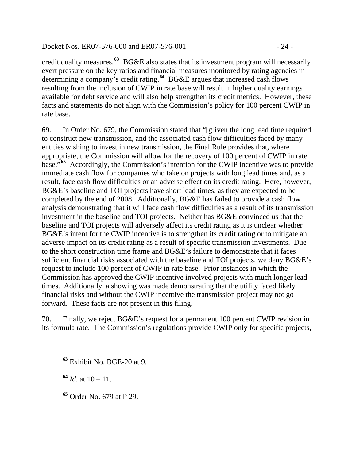#### Docket Nos. ER07-576-000 and ER07-576-001 - 24 -

credit quality measures.**[63](#page-23-0)** BG&E also states that its investment program will necessarily exert pressure on the key ratios and financial measures monitored by rating agencies in determining a company's credit rating.<sup>[64](#page-23-1)</sup> BG&E argues that increased cash flows resulting from the inclusion of CWIP in rate base will result in higher quality earnings available for debt service and will also help strengthen its credit metrics. However, these facts and statements do not align with the Commission's policy for 100 percent CWIP in rate base.

69. In Order No. 679, the Commission stated that "[g]iven the long lead time required to construct new transmission, and the associated cash flow difficulties faced by many entities wishing to invest in new transmission, the Final Rule provides that, where appropriate, the Commission will allow for the recovery of 100 percent of CWIP in rate base."**[65](#page-23-2)** Accordingly, the Commission's intention for the CWIP incentive was to provide immediate cash flow for companies who take on projects with long lead times and, as a result, face cash flow difficulties or an adverse effect on its credit rating. Here, however, BG&E's baseline and TOI projects have short lead times, as they are expected to be completed by the end of 2008. Additionally, BG&E has failed to provide a cash flow analysis demonstrating that it will face cash flow difficulties as a result of its transmission investment in the baseline and TOI projects. Neither has BG&E convinced us that the baseline and TOI projects will adversely affect its credit rating as it is unclear whether BG&E's intent for the CWIP incentive is to strengthen its credit rating or to mitigate an adverse impact on its credit rating as a result of specific transmission investments. Due to the short construction time frame and BG&E's failure to demonstrate that it faces sufficient financial risks associated with the baseline and TOI projects, we deny BG&E's request to include 100 percent of CWIP in rate base. Prior instances in which the Commission has approved the CWIP incentive involved projects with much longer lead times. Additionally, a showing was made demonstrating that the utility faced likely financial risks and without the CWIP incentive the transmission project may not go forward. These facts are not present in this filing.

70. Finally, we reject BG&E's request for a permanent 100 percent CWIP revision in its formula rate. The Commission's regulations provide CWIP only for specific projects,

**<sup>64</sup>** *Id*. at 10 – 11.

<span id="page-23-2"></span><span id="page-23-1"></span><span id="page-23-0"></span> $\overline{a}$ 

**<sup>65</sup>** Order No. 679 at P 29.

**<sup>63</sup>** Exhibit No. BGE-20 at 9.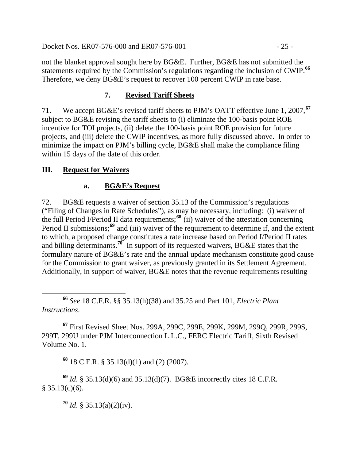Docket Nos. ER07-576-000 and ER07-576-001 - 25 -

not the blanket approval sought here by BG&E. Further, BG&E has not submitted the statements required by the Commission's regulations regarding the inclusion of CWIP.**[66](#page-24-0)** Therefore, we deny BG&E's request to recover 100 percent CWIP in rate base.

### **7. Revised Tariff Sheets**

71. We accept BG&E's revised tariff sheets to PJM's OATT effective June 1, 2007,**[67](#page-24-1)** subject to BG&E revising the tariff sheets to (i) eliminate the 100-basis point ROE incentive for TOI projects, (ii) delete the 100-basis point ROE provision for future projects, and (iii) delete the CWIP incentives, as more fully discussed above. In order to minimize the impact on PJM's billing cycle, BG&E shall make the compliance filing within 15 days of the date of this order.

### **III. Request for Waivers**

### **a. BG&E's Request**

72. BG&E requests a waiver of section 35.13 of the Commission's regulations ("Filing of Changes in Rate Schedules"), as may be necessary, including: (i) waiver of the full Period I/Period II data requirements;**[68](#page-24-2)** (ii) waiver of the attestation concerning Period II submissions;<sup>[69](#page-24-3)</sup> and (iii) waiver of the requirement to determine if, and the extent to which, a proposed change constitutes a rate increase based on Period I/Period II rates and billing determinants.**[70](#page-24-4)** In support of its requested waivers, BG&E states that the formulary nature of BG&E's rate and the annual update mechanism constitute good cause for the Commission to grant waiver, as previously granted in its Settlement Agreement. Additionally, in support of waiver, BG&E notes that the revenue requirements resulting

<span id="page-24-0"></span> **<sup>66</sup>** *See* 18 C.F.R. §§ 35.13(h)(38) and 35.25 and Part 101, *Electric Plant Instructions*.

<span id="page-24-1"></span>**<sup>67</sup>** First Revised Sheet Nos. 299A, 299C, 299E, 299K, 299M, 299Q, 299R, 299S, 299T, 299U under PJM Interconnection L.L.C., FERC Electric Tariff, Sixth Revised Volume No. 1.

**<sup>68</sup>** 18 C.F.R. § 35.13(d)(1) and (2) (2007).

<span id="page-24-4"></span><span id="page-24-3"></span><span id="page-24-2"></span>**<sup>69</sup>** *Id*. § 35.13(d)(6) and 35.13(d)(7). BG&E incorrectly cites 18 C.F.R.  $§ 35.13(c)(6).$ 

**<sup>70</sup>** *Id*. § 35.13(a)(2)(iv).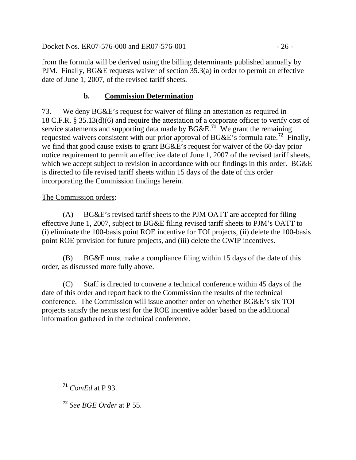Docket Nos. ER07-576-000 and ER07-576-001 - 26 -

from the formula will be derived using the billing determinants published annually by PJM. Finally, BG&E requests waiver of section 35.3(a) in order to permit an effective date of June 1, 2007, of the revised tariff sheets.

### **b. Commission Determination**

73. We deny BG&E's request for waiver of filing an attestation as required in 18 C.F.R. § 35.13(d)(6) and require the attestation of a corporate officer to verify cost of service statements and supporting data made by BG&E.**[71](#page-25-0)** We grant the remaining requested waivers consistent with our prior approval of BG&E's formula rate.**[72](#page-25-1)** Finally, we find that good cause exists to grant BG&E's request for waiver of the 60-day prior notice requirement to permit an effective date of June 1, 2007 of the revised tariff sheets, which we accept subject to revision in accordance with our findings in this order. BG&E is directed to file revised tariff sheets within 15 days of the date of this order incorporating the Commission findings herein.

### The Commission orders:

(A) BG&E's revised tariff sheets to the PJM OATT are accepted for filing effective June 1, 2007, subject to BG&E filing revised tariff sheets to PJM's OATT to (i) eliminate the 100-basis point ROE incentive for TOI projects, (ii) delete the 100-basis point ROE provision for future projects, and (iii) delete the CWIP incentives.

(B) BG&E must make a compliance filing within 15 days of the date of this order, as discussed more fully above.

(C) Staff is directed to convene a technical conference within 45 days of the date of this order and report back to the Commission the results of the technical conference. The Commission will issue another order on whether BG&E's six TOI projects satisfy the nexus test for the ROE incentive adder based on the additional information gathered in the technical conference.

<span id="page-25-0"></span>**<sup>71</sup>** *ComEd* at P 93.

<span id="page-25-1"></span>**<sup>72</sup>** *See BGE Order* at P 55.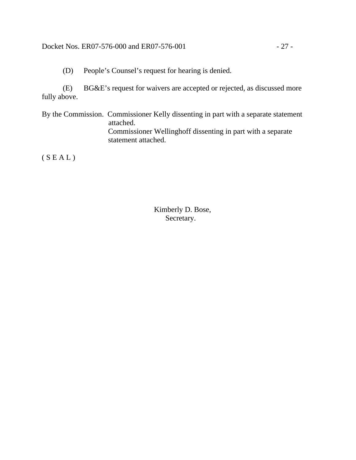#### Docket Nos. ER07-576-000 and ER07-576-001 - 27 -

(D) People's Counsel's request for hearing is denied.

(E) BG&E's request for waivers are accepted or rejected, as discussed more fully above.

By the Commission. Commissioner Kelly dissenting in part with a separate statement attached. Commissioner Wellinghoff dissenting in part with a separate statement attached.

 $(S E A L)$ 

 Kimberly D. Bose, Secretary.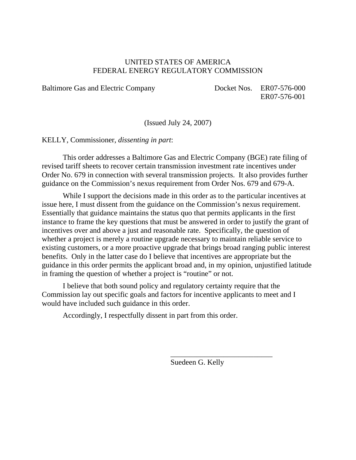#### UNITED STATES OF AMERICA FEDERAL ENERGY REGULATORY COMMISSION

Baltimore Gas and Electric Company Docket Nos. ER07-576-000

ER07-576-001

(Issued July 24, 2007)

KELLY, Commissioner, *dissenting in part*:

This order addresses a Baltimore Gas and Electric Company (BGE) rate filing of revised tariff sheets to recover certain transmission investment rate incentives under Order No. 679 in connection with several transmission projects. It also provides further guidance on the Commission's nexus requirement from Order Nos. 679 and 679-A.

While I support the decisions made in this order as to the particular incentives at issue here, I must dissent from the guidance on the Commission's nexus requirement. Essentially that guidance maintains the status quo that permits applicants in the first instance to frame the key questions that must be answered in order to justify the grant of incentives over and above a just and reasonable rate. Specifically, the question of whether a project is merely a routine upgrade necessary to maintain reliable service to existing customers, or a more proactive upgrade that brings broad ranging public interest benefits. Only in the latter case do I believe that incentives are appropriate but the guidance in this order permits the applicant broad and, in my opinion, unjustified latitude in framing the question of whether a project is "routine" or not.

I believe that both sound policy and regulatory certainty require that the Commission lay out specific goals and factors for incentive applicants to meet and I would have included such guidance in this order.

Accordingly, I respectfully dissent in part from this order.

Suedeen G. Kelly

\_\_\_\_\_\_\_\_\_\_\_\_\_\_\_\_\_\_\_\_\_\_\_\_\_\_\_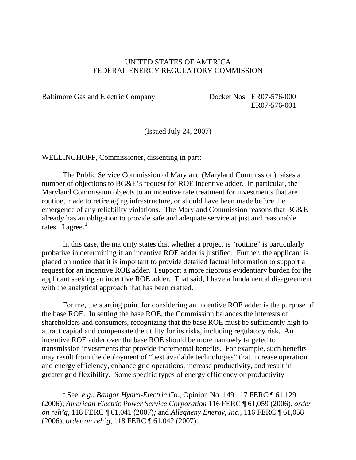#### UNITED STATES OF AMERICA FEDERAL ENERGY REGULATORY COMMISSION

Baltimore Gas and Electric Company Docket Nos. ER07-576-000

ER07-576-001

(Issued July 24, 2007)

#### WELLINGHOFF, Commissioner, dissenting in part:

The Public Service Commission of Maryland (Maryland Commission) raises a number of objections to BG&E's request for ROE incentive adder. In particular, the Maryland Commission objects to an incentive rate treatment for investments that are routine, made to retire aging infrastructure, or should have been made before the emergence of any reliability violations. The Maryland Commission reasons that BG&E already has an obligation to provide safe and adequate service at just and reasonable rates. I agree.**[1](#page-28-0)**

In this case, the majority states that whether a project is "routine" is particularly probative in determining if an incentive ROE adder is justified. Further, the applicant is placed on notice that it is important to provide detailed factual information to support a request for an incentive ROE adder. I support a more rigorous evidentiary burden for the applicant seeking an incentive ROE adder. That said, I have a fundamental disagreement with the analytical approach that has been crafted.

For me, the starting point for considering an incentive ROE adder is the purpose of the base ROE. In setting the base ROE, the Commission balances the interests of shareholders and consumers, recognizing that the base ROE must be sufficiently high to attract capital and compensate the utility for its risks, including regulatory risk. An incentive ROE adder over the base ROE should be more narrowly targeted to transmission investments that provide incremental benefits. For example, such benefits may result from the deployment of "best available technologies" that increase operation and energy efficiency, enhance grid operations, increase productivity, and result in greater grid flexibility. Some specific types of energy efficiency or productivity

<span id="page-28-0"></span><sup>&</sup>lt;u>1</u> See, *e.g.*, *Bangor Hydro-Electric Co.*, Opinion No. 149 117 FERC ¶ 61,129 (2006); *American Electric Power Service Corporation* 116 FERC ¶ 61,059 (2006), *order on reh'g*, 118 FERC ¶ 61,041 (2007)*;* and *Allegheny Energy, Inc.,* 116 FERC ¶ 61,058 (2006), *order on reh'g*, 118 FERC ¶ 61,042 (2007).